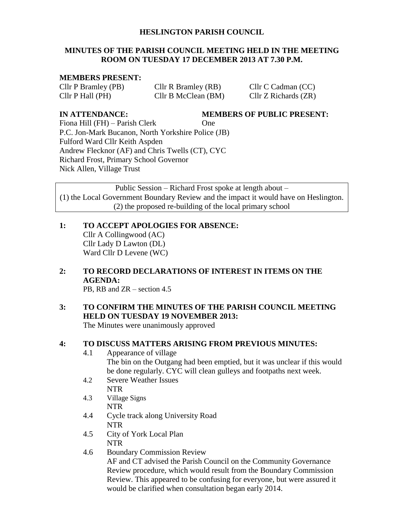#### **HESLINGTON PARISH COUNCIL**

#### **MINUTES OF THE PARISH COUNCIL MEETING HELD IN THE MEETING ROOM ON TUESDAY 17 DECEMBER 2013 AT 7.30 P.M.**

#### **MEMBERS PRESENT:**

Cllr P Bramley (PB) Cllr R Bramley (RB) Cllr C Cadman (CC) Cllr P Hall (PH) Cllr B McClean (BM) Cllr Z Richards (ZR)

**IN ATTENDANCE: MEMBERS OF PUBLIC PRESENT:**

Fiona Hill (FH) – Parish Clerk One P.C. Jon-Mark Bucanon, North Yorkshire Police (JB) Fulford Ward Cllr Keith Aspden Andrew Flecknor (AF) and Chris Twells (CT), CYC Richard Frost, Primary School Governor Nick Allen, Village Trust

Public Session – Richard Frost spoke at length about – (1) the Local Government Boundary Review and the impact it would have on Heslington. (2) the proposed re-building of the local primary school

**1: TO ACCEPT APOLOGIES FOR ABSENCE:** Cllr A Collingwood (AC) Cllr Lady D Lawton (DL) Ward Cllr D Levene (WC)

**2: TO RECORD DECLARATIONS OF INTEREST IN ITEMS ON THE AGENDA:** PB, RB and ZR – section 4.5

# **3: TO CONFIRM THE MINUTES OF THE PARISH COUNCIL MEETING HELD ON TUESDAY 19 NOVEMBER 2013:**

The Minutes were unanimously approved

#### **4: TO DISCUSS MATTERS ARISING FROM PREVIOUS MINUTES:**

- 4.1 Appearance of village The bin on the Outgang had been emptied, but it was unclear if this would be done regularly. CYC will clean gulleys and footpaths next week.
- 4.2 Severe Weather Issues NTR
- 4.3 Village Signs NTR
- 4.4 Cycle track along University Road NTR
- 4.5 City of York Local Plan NTR
- 4.6 Boundary Commission Review

AF and CT advised the Parish Council on the Community Governance Review procedure, which would result from the Boundary Commission Review. This appeared to be confusing for everyone, but were assured it would be clarified when consultation began early 2014.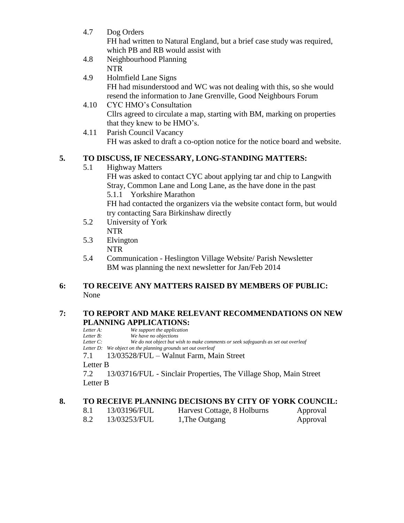- 4.7 Dog Orders FH had written to Natural England, but a brief case study was required, which PB and RB would assist with
- 4.8 Neighbourhood Planning NTR
- 4.9 Holmfield Lane Signs FH had misunderstood and WC was not dealing with this, so she would resend the information to Jane Grenville, Good Neighbours Forum
- 4.10 CYC HMO's Consultation Cllrs agreed to circulate a map, starting with BM, marking on properties that they knew to be HMO's.
- 4.11 Parish Council Vacancy FH was asked to draft a co-option notice for the notice board and website.

# **5. TO DISCUSS, IF NECESSARY, LONG-STANDING MATTERS:**

5.1 Highway Matters

FH was asked to contact CYC about applying tar and chip to Langwith Stray, Common Lane and Long Lane, as the have done in the past 5.1.1 Yorkshire Marathon

FH had contacted the organizers via the website contact form, but would try contacting Sara Birkinshaw directly

- 5.2 University of York NTR
- 5.3 Elvington NTR
- 5.4 Communication Heslington Village Website/ Parish Newsletter BM was planning the next newsletter for Jan/Feb 2014

#### **6: TO RECEIVE ANY MATTERS RAISED BY MEMBERS OF PUBLIC:** None

# **7: TO REPORT AND MAKE RELEVANT RECOMMENDATIONS ON NEW PLANNING APPLICATIONS:**<br>Letter A: We support the application

*We support the application Letter B: We have no objections Letter C: We do not object but wish to make comments or seek safeguards as set out overleaf Letter D: We object on the planning grounds set out overleaf* 7.1 13/03528/FUL – Walnut Farm, Main Street Letter B 7.2 13/03716/FUL - Sinclair Properties, The Village Shop, Main Street Letter B

# **8. TO RECEIVE PLANNING DECISIONS BY CITY OF YORK COUNCIL:**

| 8.1 | 13/03196/FUL | Harvest Cottage, 8 Holburns | Approval |
|-----|--------------|-----------------------------|----------|
| 8.2 | 13/03253/FUL | 1, The Outgang              | Approval |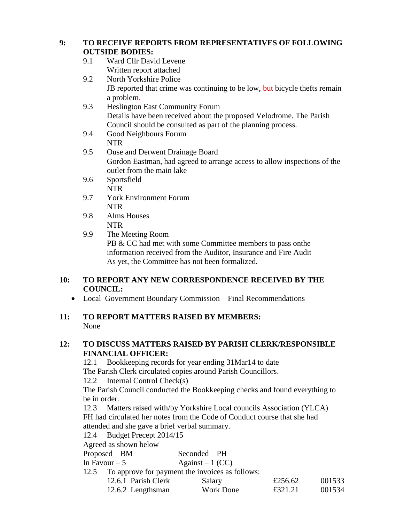#### **9: TO RECEIVE REPORTS FROM REPRESENTATIVES OF FOLLOWING OUTSIDE BODIES:**

- 9.1 Ward Cllr David Levene Written report attached
- 9.2 North Yorkshire Police JB reported that crime was continuing to be low, but bicycle thefts remain a problem.
- 9.3 Heslington East Community Forum Details have been received about the proposed Velodrome. The Parish Council should be consulted as part of the planning process.
- 9.4 Good Neighbours Forum NTR
- 9.5 Ouse and Derwent Drainage Board Gordon Eastman, had agreed to arrange access to allow inspections of the outlet from the main lake
- 9.6 Sportsfield NTR
- 9.7 York Environment Forum NTR
- 9.8 Alms Houses NTR
- 9.9 The Meeting Room

PB & CC had met with some Committee members to pass onthe information received from the Auditor, Insurance and Fire Audit As yet, the Committee has not been formalized.

# **10: TO REPORT ANY NEW CORRESPONDENCE RECEIVED BY THE COUNCIL:**

• Local Government Boundary Commission – Final Recommendations

# **11: TO REPORT MATTERS RAISED BY MEMBERS:** None

# **12: TO DISCUSS MATTERS RAISED BY PARISH CLERK/RESPONSIBLE FINANCIAL OFFICER:**

12.1 Bookkeeping records for year ending 31Mar14 to date The Parish Clerk circulated copies around Parish Councillors.

12.2 Internal Control Check(s)

The Parish Council conducted the Bookkeeping checks and found everything to be in order.

12.3 Matters raised with/by Yorkshire Local councils Association (YLCA) FH had circulated her notes from the Code of Conduct course that she had attended and she gave a brief verbal summary.

12.4 Budget Precept 2014/15

Agreed as shown below

| Proposed – BM                                        | Seconded – PH     |         |  |  |
|------------------------------------------------------|-------------------|---------|--|--|
| In Favour – 5                                        | Against $-1$ (CC) |         |  |  |
| 12.5 To approve for payment the invoices as follows: |                   |         |  |  |
| 12.6.1 Parish Clerk                                  | Salary            | £256.62 |  |  |

| 12.6.1 Parish Clerk | Salary    | £256.62 | 001533 |
|---------------------|-----------|---------|--------|
| 12.6.2 Lengthsman   | Work Done | £321.21 | 001534 |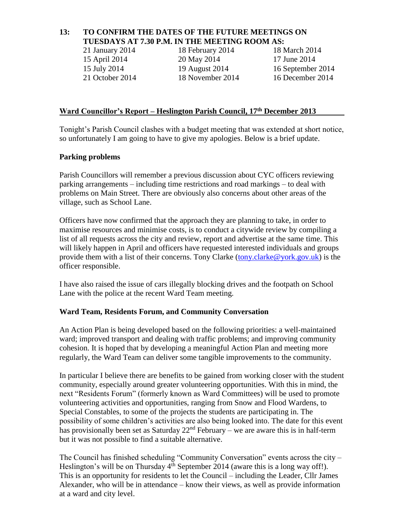#### **13: TO CONFIRM THE DATES OF THE FUTURE MEETINGS ON TUESDAYS AT 7.30 P.M. IN THE MEETING ROOM AS:**

21 January 2014 18 February 2014 18 March 2014

15 April 2014 20 May 2014 17 June 2014

15 July 2014 19 August 2014 16 September 2014 21 October 2014 18 November 2014 16 December 2014

#### **Ward Councillor's Report – Heslington Parish Council, 17th December 2013**

Tonight's Parish Council clashes with a budget meeting that was extended at short notice, so unfortunately I am going to have to give my apologies. Below is a brief update.

#### **Parking problems**

Parish Councillors will remember a previous discussion about CYC officers reviewing parking arrangements – including time restrictions and road markings – to deal with problems on Main Street. There are obviously also concerns about other areas of the village, such as School Lane.

Officers have now confirmed that the approach they are planning to take, in order to maximise resources and minimise costs, is to conduct a citywide review by compiling a list of all requests across the city and review, report and advertise at the same time. This will likely happen in April and officers have requested interested individuals and groups provide them with a list of their concerns. Tony Clarke [\(tony.clarke@york.gov.uk\)](mailto:tony.clarke@york.gov.uk) is the officer responsible.

I have also raised the issue of cars illegally blocking drives and the footpath on School Lane with the police at the recent Ward Team meeting.

#### **Ward Team, Residents Forum, and Community Conversation**

An Action Plan is being developed based on the following priorities: a well-maintained ward; improved transport and dealing with traffic problems; and improving community cohesion. It is hoped that by developing a meaningful Action Plan and meeting more regularly, the Ward Team can deliver some tangible improvements to the community.

In particular I believe there are benefits to be gained from working closer with the student community, especially around greater volunteering opportunities. With this in mind, the next "Residents Forum" (formerly known as Ward Committees) will be used to promote volunteering activities and opportunities, ranging from Snow and Flood Wardens, to Special Constables, to some of the projects the students are participating in. The possibility of some children's activities are also being looked into. The date for this event has provisionally been set as Saturday  $22<sup>nd</sup>$  February – we are aware this is in half-term but it was not possible to find a suitable alternative.

The Council has finished scheduling "Community Conversation" events across the city – Heslington's will be on Thursday  $4^{th}$  September 2014 (aware this is a long way off!). This is an opportunity for residents to let the Council – including the Leader, Cllr James Alexander, who will be in attendance – know their views, as well as provide information at a ward and city level.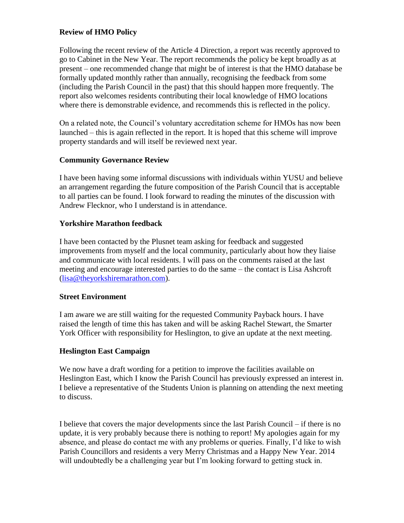#### **Review of HMO Policy**

Following the recent review of the Article 4 Direction, a report was recently approved to go to Cabinet in the New Year. The report recommends the policy be kept broadly as at present – one recommended change that might be of interest is that the HMO database be formally updated monthly rather than annually, recognising the feedback from some (including the Parish Council in the past) that this should happen more frequently. The report also welcomes residents contributing their local knowledge of HMO locations where there is demonstrable evidence, and recommends this is reflected in the policy.

On a related note, the Council's voluntary accreditation scheme for HMOs has now been launched – this is again reflected in the report. It is hoped that this scheme will improve property standards and will itself be reviewed next year.

#### **Community Governance Review**

I have been having some informal discussions with individuals within YUSU and believe an arrangement regarding the future composition of the Parish Council that is acceptable to all parties can be found. I look forward to reading the minutes of the discussion with Andrew Flecknor, who I understand is in attendance.

#### **Yorkshire Marathon feedback**

I have been contacted by the Plusnet team asking for feedback and suggested improvements from myself and the local community, particularly about how they liaise and communicate with local residents. I will pass on the comments raised at the last meeting and encourage interested parties to do the same – the contact is Lisa Ashcroft [\(lisa@theyorkshiremarathon.com\)](mailto:lisa@theyorkshiremarathon.com).

#### **Street Environment**

I am aware we are still waiting for the requested Community Payback hours. I have raised the length of time this has taken and will be asking Rachel Stewart, the Smarter York Officer with responsibility for Heslington, to give an update at the next meeting.

#### **Heslington East Campaign**

We now have a draft wording for a petition to improve the facilities available on Heslington East, which I know the Parish Council has previously expressed an interest in. I believe a representative of the Students Union is planning on attending the next meeting to discuss.

I believe that covers the major developments since the last Parish Council – if there is no update, it is very probably because there is nothing to report! My apologies again for my absence, and please do contact me with any problems or queries. Finally, I'd like to wish Parish Councillors and residents a very Merry Christmas and a Happy New Year. 2014 will undoubtedly be a challenging year but I'm looking forward to getting stuck in.